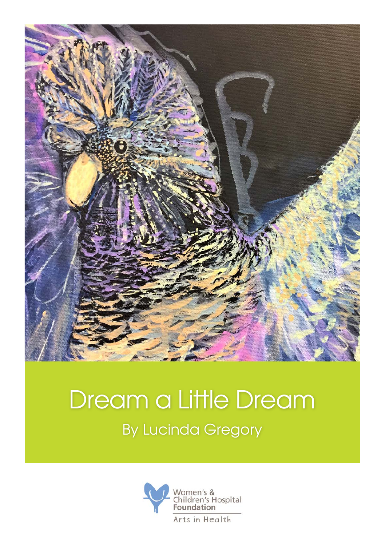

## Dream a Little Dream By Lucinda Gregory

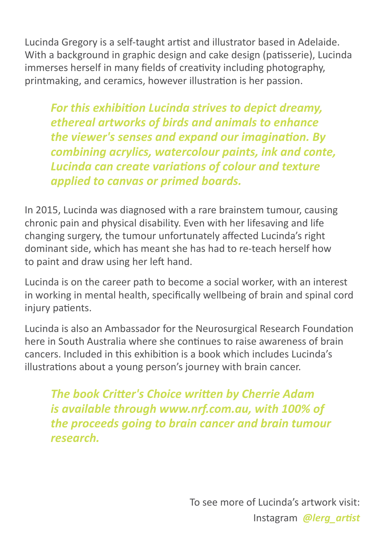Lucinda Gregory is a self-taught artist and illustrator based in Adelaide. With a background in graphic design and cake design (patisserie), Lucinda immerses herself in many fields of creativity including photography, printmaking, and ceramics, however illustration is her passion.

*For this exhibition Lucinda strives to depict dreamy, ethereal artworks of birds and animals to enhance the viewer's senses and expand our imagination. By combining acrylics, watercolour paints, ink and conte, Lucinda can create variations of colour and texture applied to canvas or primed boards.* 

In 2015, Lucinda was diagnosed with a rare brainstem tumour, causing chronic pain and physical disability. Even with her lifesaving and life changing surgery, the tumour unfortunately affected Lucinda's right dominant side, which has meant she has had to re-teach herself how to paint and draw using her left hand.

Lucinda is on the career path to become a social worker, with an interest in working in mental health, specifically wellbeing of brain and spinal cord injury patients.

Lucinda is also an Ambassador for the Neurosurgical Research Foundation here in South Australia where she continues to raise awareness of brain cancers. Included in this exhibition is a book which includes Lucinda's illustrations about a young person's journey with brain cancer.

*The book Critter's Choice written by Cherrie Adam is available through www.nrf.com.au, with 100% of the proceeds going to brain cancer and brain tumour research.* 

> To see more of Lucinda's artwork visit: Instagram *@lerg\_artist*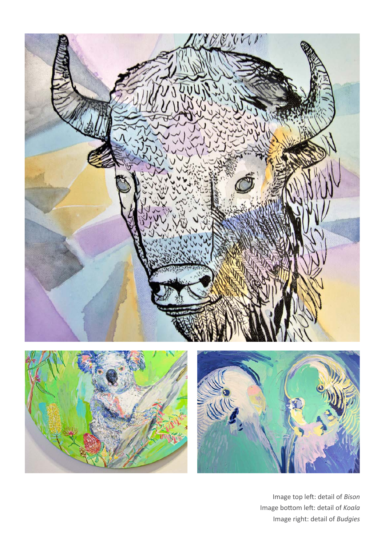

Image top left: detail of *Bison* Image bottom left: detail of *Koala* Image right: detail of *Budgies*